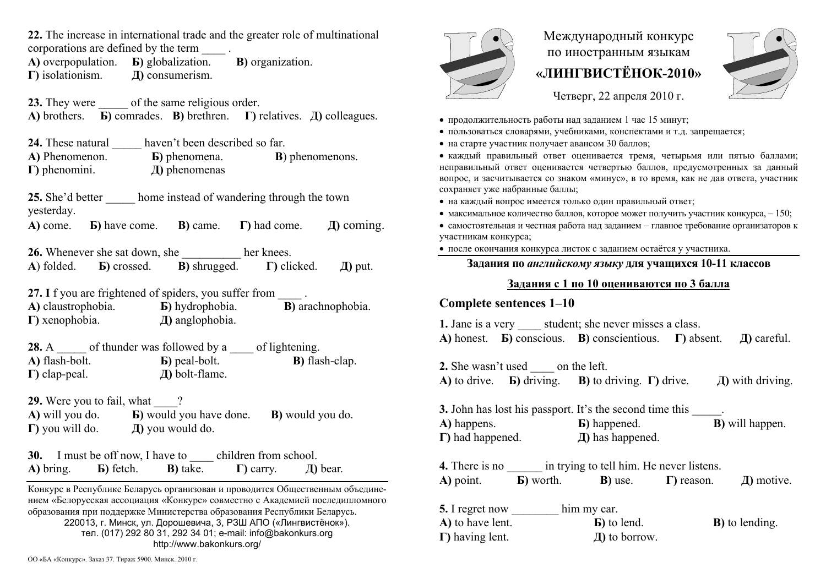**22.** The increase in international trade and the greater role of multinational

corporations are defined by the term \_\_\_\_ .

**A)** overpopulation. **Б)** globalization. **В)** organization. **Г)** isolationism. **Д)** consumerism.

23. They were of the same religious order. **A)** brothers. **Б)** comrades. **В)** brethren. **Г)** relatives. **Д)** colleagues.

**24.** These natural **haven't been described so far А)** Phenomenon. **Б)** phenomena. **В**) phenomenons. **Г)** phenomini. **Д)** phenomenas

25. She'd better home instead of wandering through the town yesterday.

**A)** come. **Б)** have come. **В)** came. **Г)** had come. **Д)** coming.

**26.** Whenever she sat down, she her knees. **А**) folded. **Б)** crossed. **В)** shrugged. **Г)** clicked. **Д)** put.

**27.** If you are frightened of spiders, you suffer from **А)** claustrophobia. **Б)** hydrophobia. **В)** arachnophobia. **Г)** xenophobia. **Д)** anglophobia.

**28.** A control of thunder was followed by a contract of lightening. **А)** flash-bolt. **Б)** peal-bolt. **В)** flash-clap. **Г)** clap-peal. **Д)** bolt-flame.

**29.** Were you to fail, what  $\qquad$ ?

**А)** will you do. **Б)** would you have done. **В)** would you do. **Г)** you will do. **Д)** you would do.

**30.** I must be off now, I have to children from school. **A)** bring. **Б)** fetch. **В)** take. **Г)** carry. **Д)** bear.

Конкурс <sup>в</sup> Республике Беларусь организован и проводится Общественным объединением «Белорусская ассоциация «Конкурс» совместно <sup>с</sup> Академией последипломного образования при поддержке Министерства образования Республики Беларусь. 220013, <sup>г</sup>. Минск, ул. Дорошевича, 3, РЗШ АПО («Лингвистёнок»). тел. (017) 292 80 31, 292 34 01; e-mail: info@bakonkurs.org http://www.bakonkurs.org/

Международный конкурс по иностранным языкам **«ЛИНГВИСТЁНОК-2010»** 



Четверг, 22 апреля 2010 г.

- продолжительность работы над заданием 1 час 15 минут;
- пользоваться словарями, учебниками, конспектами и <sup>т</sup>.д. запрещается;
- на старте участник получает авансом 30 баллов;

 каждый правильный ответ оценивается тремя, четырьмя или пятью баллами; неправильный ответ оценивается четвертью баллов, предусмотренных за данный вопрос, <sup>и</sup> засчитывается со знаком «минус», <sup>в</sup> то время, как не дав ответа, участник сохраняет уже набранные баллы;

- на каждый вопрос имеется только один правильный ответ;
- максимальное количество баллов, которое может получить участник конкурса,  $-150$ ;

• самостоятельная и честная работа над заданием - главное требование организаторов к участникам конкурса;

после окончания конкурса листок <sup>с</sup> заданием остаётся у участника.

### **Задания по** *английскому языку* **для учащихся 10-11 классов**

# **Задания <sup>с</sup> 1 по 10 оцениваются по 3 балла**

# **Complete sentences 1–10**

**1.** Jane is a very student; she never misses a class. **A)** honest. **Б)** conscious. **В)** conscientious. **Г)** absent. **Д)** careful.

**2.** She wasn't used on the left. **A**) to drive. **•• Б**) driving. **•• B**) to driving.  $\Gamma$ ) drive. **Д)** with driving.

**3.** John has lost his passport. It's the second time this **A)** happens. **Б)** happened. **В)** will happen. **Г)** had happened. **Д)** has happened.

**4.** There is no  $\frac{1}{2}$  in trying to tell him. He never listens. **A)** point. **Б)** worth. **В)** use. **Г)** reason. **Д)** motive. **5.** I regret now him my car.

| A) to have lent.        | <b>B</b> ) to lend. | <b>B</b> ) to lending. |
|-------------------------|---------------------|------------------------|
| $\Gamma$ ) having lent. | $\pi$ ) to borrow.  |                        |